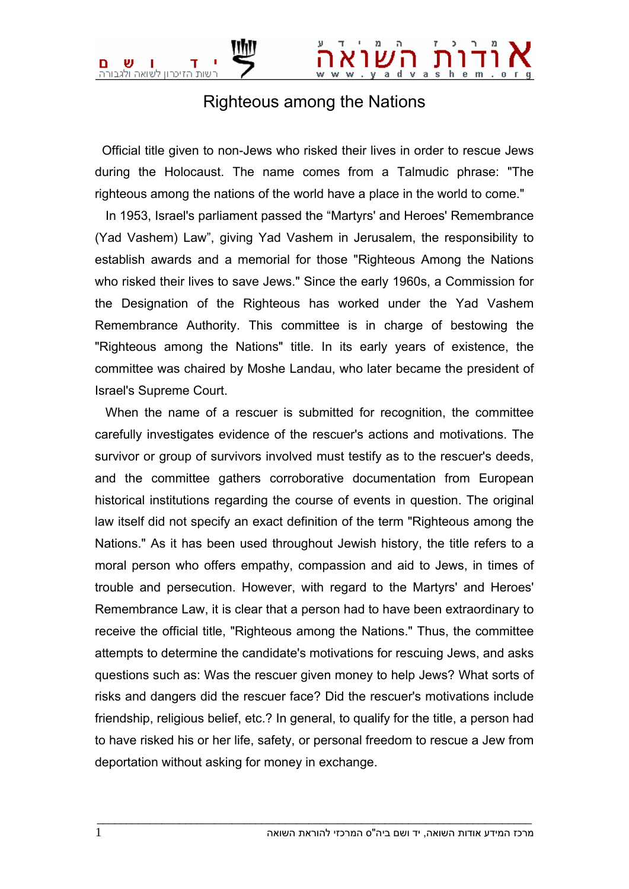

## Righteous among the Nations

 Official title given to non-Jews who risked their lives in order to rescue Jews during the Holocaust. The name comes from a Talmudic phrase: "The righteous among the nations of the world have a place in the world to come."

 In 1953, Israel's parliament passed the "Martyrs' and Heroes' Remembrance (Yad Vashem) Law", giving Yad Vashem in Jerusalem, the responsibility to establish awards and a memorial for those "Righteous Among the Nations who risked their lives to save Jews." Since the early 1960s, a Commission for the Designation of the Righteous has worked under the Yad Vashem Remembrance Authority. This committee is in charge of bestowing the "Righteous among the Nations" title. In its early years of existence, the committee was chaired by Moshe Landau, who later became the president of Israel's Supreme Court.

 When the name of a rescuer is submitted for recognition, the committee carefully investigates evidence of the rescuer's actions and motivations. The survivor or group of survivors involved must testify as to the rescuer's deeds, and the committee gathers corroborative documentation from European historical institutions regarding the course of events in question. The original law itself did not specify an exact definition of the term "Righteous among the Nations." As it has been used throughout Jewish history, the title refers to a moral person who offers empathy, compassion and aid to Jews, in times of trouble and persecution. However, with regard to the Martyrs' and Heroes' Remembrance Law, it is clear that a person had to have been extraordinary to receive the official title, "Righteous among the Nations." Thus, the committee attempts to determine the candidate's motivations for rescuing Jews, and asks questions such as: Was the rescuer given money to help Jews? What sorts of risks and dangers did the rescuer face? Did the rescuer's motivations include friendship, religious belief, etc.? In general, to qualify for the title, a person had to have risked his or her life, safety, or personal freedom to rescue a Jew from deportation without asking for money in exchange.

 $\bot$  , and the set of the set of the set of the set of the set of the set of the set of the set of the set of the set of the set of the set of the set of the set of the set of the set of the set of the set of the set of t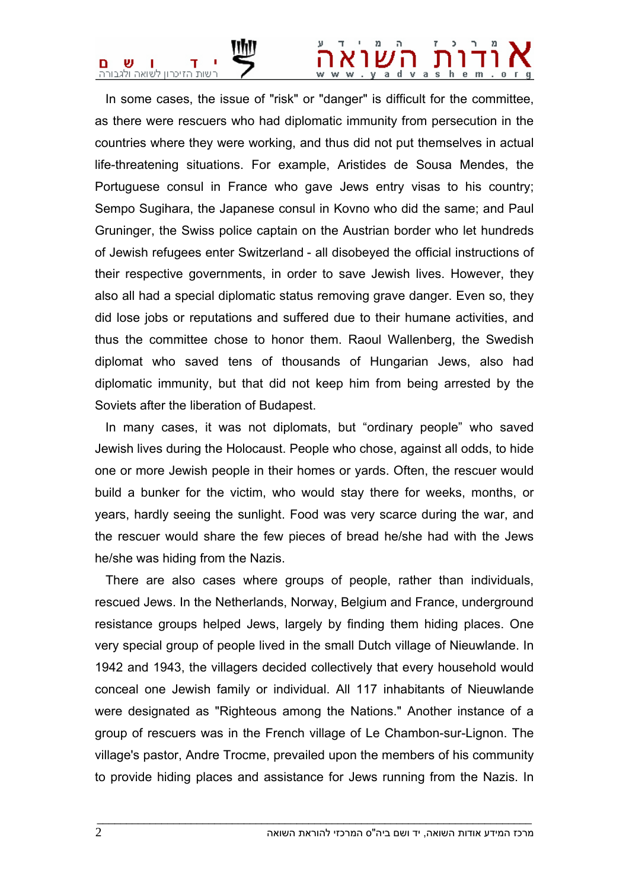## $v a s$

 In some cases, the issue of "risk" or "danger" is difficult for the committee, as there were rescuers who had diplomatic immunity from persecution in the countries where they were working, and thus did not put themselves in actual life-threatening situations. For example, Aristides de Sousa Mendes, the Portuguese consul in France who gave Jews entry visas to his country; Sempo Sugihara, the Japanese consul in Kovno who did the same; and Paul Gruninger, the Swiss police captain on the Austrian border who let hundreds of Jewish refugees enter Switzerland - all disobeyed the official instructions of their respective governments, in order to save Jewish lives. However, they also all had a special diplomatic status removing grave danger. Even so, they did lose jobs or reputations and suffered due to their humane activities, and thus the committee chose to honor them. Raoul Wallenberg, the Swedish diplomat who saved tens of thousands of Hungarian Jews, also had diplomatic immunity, but that did not keep him from being arrested by the Soviets after the liberation of Budapest.

 In many cases, it was not diplomats, but "ordinary people" who saved Jewish lives during the Holocaust. People who chose, against all odds, to hide one or more Jewish people in their homes or yards. Often, the rescuer would build a bunker for the victim, who would stay there for weeks, months, or years, hardly seeing the sunlight. Food was very scarce during the war, and the rescuer would share the few pieces of bread he/she had with the Jews he/she was hiding from the Nazis.

 There are also cases where groups of people, rather than individuals, rescued Jews. In the Netherlands, Norway, Belgium and France, underground resistance groups helped Jews, largely by finding them hiding places. One very special group of people lived in the small Dutch village of Nieuwlande. In 1942 and 1943, the villagers decided collectively that every household would conceal one Jewish family or individual. All 117 inhabitants of Nieuwlande were designated as "Righteous among the Nations." Another instance of a group of rescuers was in the French village of Le Chambon-sur-Lignon. The village's pastor, Andre Trocme, prevailed upon the members of his community to provide hiding places and assistance for Jews running from the Nazis. In

 $\bot$  , and the set of the set of the set of the set of the set of the set of the set of the set of the set of the set of the set of the set of the set of the set of the set of the set of the set of the set of the set of t